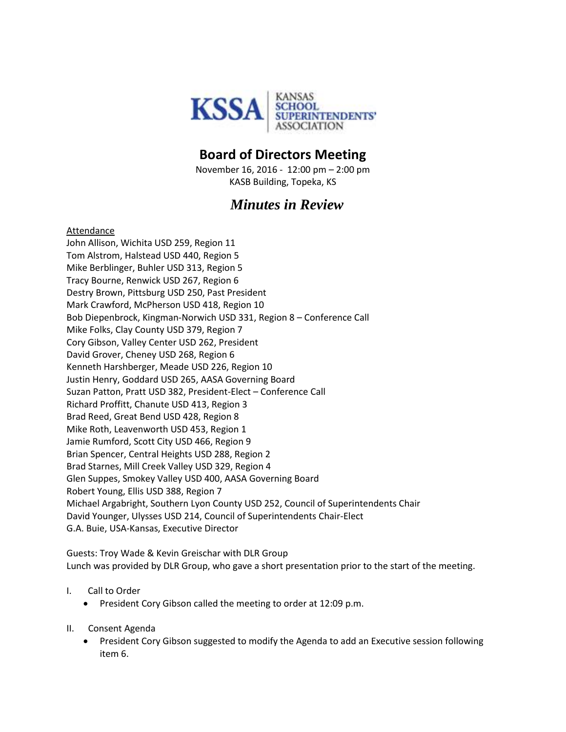

## **Board of Directors Meeting**

November 16, 2016 - 12:00 pm – 2:00 pm KASB Building, Topeka, KS

## *Minutes in Review*

## Attendance

John Allison, Wichita USD 259, Region 11 Tom Alstrom, Halstead USD 440, Region 5 Mike Berblinger, Buhler USD 313, Region 5 Tracy Bourne, Renwick USD 267, Region 6 Destry Brown, Pittsburg USD 250, Past President Mark Crawford, McPherson USD 418, Region 10 Bob Diepenbrock, Kingman-Norwich USD 331, Region 8 – Conference Call Mike Folks, Clay County USD 379, Region 7 Cory Gibson, Valley Center USD 262, President David Grover, Cheney USD 268, Region 6 Kenneth Harshberger, Meade USD 226, Region 10 Justin Henry, Goddard USD 265, AASA Governing Board Suzan Patton, Pratt USD 382, President-Elect – Conference Call Richard Proffitt, Chanute USD 413, Region 3 Brad Reed, Great Bend USD 428, Region 8 Mike Roth, Leavenworth USD 453, Region 1 Jamie Rumford, Scott City USD 466, Region 9 Brian Spencer, Central Heights USD 288, Region 2 Brad Starnes, Mill Creek Valley USD 329, Region 4 Glen Suppes, Smokey Valley USD 400, AASA Governing Board Robert Young, Ellis USD 388, Region 7 Michael Argabright, Southern Lyon County USD 252, Council of Superintendents Chair David Younger, Ulysses USD 214, Council of Superintendents Chair-Elect G.A. Buie, USA-Kansas, Executive Director

Guests: Troy Wade & Kevin Greischar with DLR Group Lunch was provided by DLR Group, who gave a short presentation prior to the start of the meeting.

- I. Call to Order
	- President Cory Gibson called the meeting to order at 12:09 p.m.
- II. Consent Agenda
	- President Cory Gibson suggested to modify the Agenda to add an Executive session following item 6.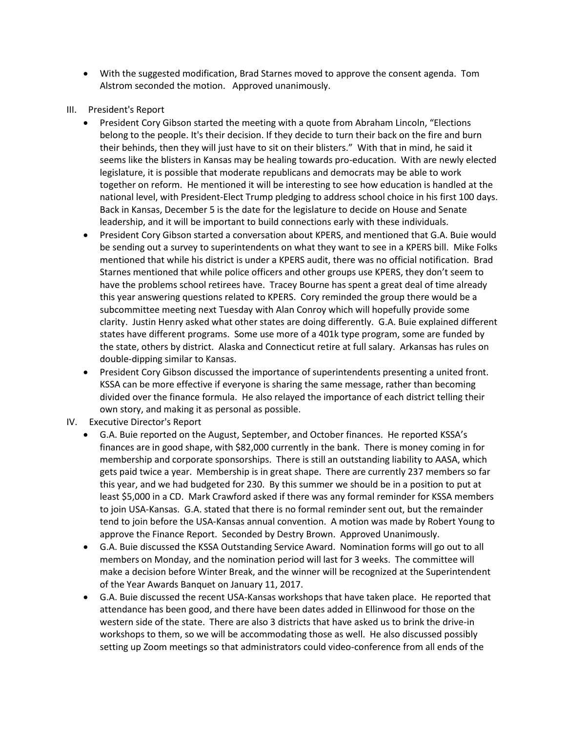- With the suggested modification, Brad Starnes moved to approve the consent agenda. Tom Alstrom seconded the motion. Approved unanimously.
- III. President's Report
	- President Cory Gibson started the meeting with a quote from Abraham Lincoln, "Elections belong to the people. It's their decision. If they decide to turn their back on the fire and burn their behinds, then they will just have to sit on their blisters." With that in mind, he said it seems like the blisters in Kansas may be healing towards pro-education. With are newly elected legislature, it is possible that moderate republicans and democrats may be able to work together on reform. He mentioned it will be interesting to see how education is handled at the national level, with President-Elect Trump pledging to address school choice in his first 100 days. Back in Kansas, December 5 is the date for the legislature to decide on House and Senate leadership, and it will be important to build connections early with these individuals.
	- President Cory Gibson started a conversation about KPERS, and mentioned that G.A. Buie would be sending out a survey to superintendents on what they want to see in a KPERS bill. Mike Folks mentioned that while his district is under a KPERS audit, there was no official notification. Brad Starnes mentioned that while police officers and other groups use KPERS, they don't seem to have the problems school retirees have. Tracey Bourne has spent a great deal of time already this year answering questions related to KPERS. Cory reminded the group there would be a subcommittee meeting next Tuesday with Alan Conroy which will hopefully provide some clarity. Justin Henry asked what other states are doing differently. G.A. Buie explained different states have different programs. Some use more of a 401k type program, some are funded by the state, others by district. Alaska and Connecticut retire at full salary. Arkansas has rules on double-dipping similar to Kansas.
	- President Cory Gibson discussed the importance of superintendents presenting a united front. KSSA can be more effective if everyone is sharing the same message, rather than becoming divided over the finance formula. He also relayed the importance of each district telling their own story, and making it as personal as possible.
- IV. Executive Director's Report
	- G.A. Buie reported on the August, September, and October finances. He reported KSSA's finances are in good shape, with \$82,000 currently in the bank. There is money coming in for membership and corporate sponsorships. There is still an outstanding liability to AASA, which gets paid twice a year. Membership is in great shape. There are currently 237 members so far this year, and we had budgeted for 230. By this summer we should be in a position to put at least \$5,000 in a CD. Mark Crawford asked if there was any formal reminder for KSSA members to join USA-Kansas. G.A. stated that there is no formal reminder sent out, but the remainder tend to join before the USA-Kansas annual convention. A motion was made by Robert Young to approve the Finance Report. Seconded by Destry Brown. Approved Unanimously.
	- G.A. Buie discussed the KSSA Outstanding Service Award. Nomination forms will go out to all members on Monday, and the nomination period will last for 3 weeks. The committee will make a decision before Winter Break, and the winner will be recognized at the Superintendent of the Year Awards Banquet on January 11, 2017.
	- G.A. Buie discussed the recent USA-Kansas workshops that have taken place. He reported that attendance has been good, and there have been dates added in Ellinwood for those on the western side of the state. There are also 3 districts that have asked us to brink the drive-in workshops to them, so we will be accommodating those as well. He also discussed possibly setting up Zoom meetings so that administrators could video-conference from all ends of the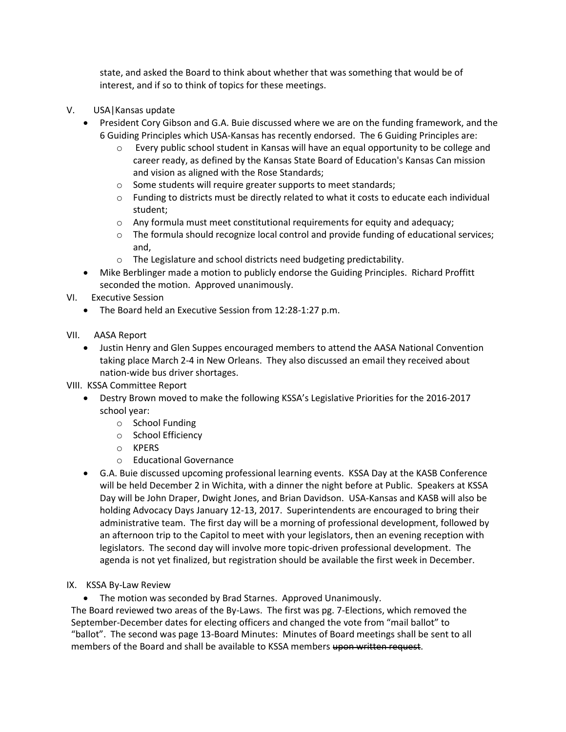state, and asked the Board to think about whether that was something that would be of interest, and if so to think of topics for these meetings.

- V. USA|Kansas update
	- President Cory Gibson and G.A. Buie discussed where we are on the funding framework, and the 6 Guiding Principles which USA-Kansas has recently endorsed. The 6 Guiding Principles are:
		- o Every public school student in Kansas will have an equal opportunity to be college and career ready, as defined by the Kansas State Board of Education's Kansas Can mission and vision as aligned with the Rose Standards;
		- o Some students will require greater supports to meet standards;
		- o Funding to districts must be directly related to what it costs to educate each individual student;
		- o Any formula must meet constitutional requirements for equity and adequacy;
		- $\circ$  The formula should recognize local control and provide funding of educational services; and,
		- o The Legislature and school districts need budgeting predictability.
		- Mike Berblinger made a motion to publicly endorse the Guiding Principles. Richard Proffitt seconded the motion. Approved unanimously.
- VI. Executive Session
	- The Board held an Executive Session from 12:28-1:27 p.m.
- VII. AASA Report
	- Justin Henry and Glen Suppes encouraged members to attend the AASA National Convention taking place March 2-4 in New Orleans. They also discussed an email they received about nation-wide bus driver shortages.
- VIII. KSSA Committee Report
	- Destry Brown moved to make the following KSSA's Legislative Priorities for the 2016-2017 school year:
		- o School Funding
		- o School Efficiency
		- o KPERS
		- o Educational Governance
	- G.A. Buie discussed upcoming professional learning events. KSSA Day at the KASB Conference will be held December 2 in Wichita, with a dinner the night before at Public. Speakers at KSSA Day will be John Draper, Dwight Jones, and Brian Davidson. USA-Kansas and KASB will also be holding Advocacy Days January 12-13, 2017. Superintendents are encouraged to bring their administrative team. The first day will be a morning of professional development, followed by an afternoon trip to the Capitol to meet with your legislators, then an evening reception with legislators. The second day will involve more topic-driven professional development. The agenda is not yet finalized, but registration should be available the first week in December.
- IX. KSSA By-Law Review
	- The motion was seconded by Brad Starnes. Approved Unanimously.

The Board reviewed two areas of the By-Laws. The first was pg. 7-Elections, which removed the September-December dates for electing officers and changed the vote from "mail ballot" to "ballot". The second was page 13-Board Minutes: Minutes of Board meetings shall be sent to all members of the Board and shall be available to KSSA members upon written request.